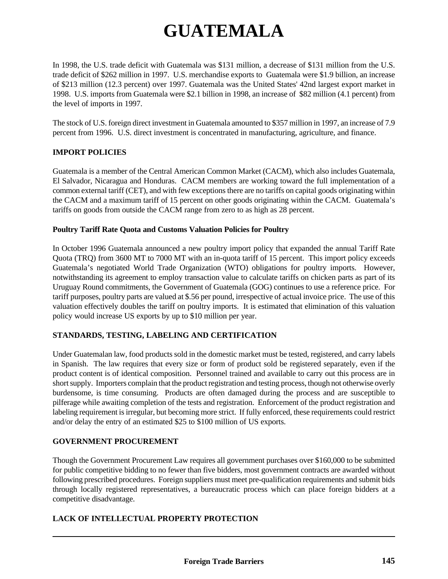# **GUATEMALA**

In 1998, the U.S. trade deficit with Guatemala was \$131 million, a decrease of \$131 million from the U.S. trade deficit of \$262 million in 1997. U.S. merchandise exports to Guatemala were \$1.9 billion, an increase of \$213 million (12.3 percent) over 1997. Guatemala was the United States' 42nd largest export market in 1998. U.S. imports from Guatemala were \$2.1 billion in 1998, an increase of \$82 million (4.1 percent) from the level of imports in 1997.

The stock of U.S. foreign direct investment in Guatemala amounted to \$357 million in 1997, an increase of 7.9 percent from 1996. U.S. direct investment is concentrated in manufacturing, agriculture, and finance.

# **IMPORT POLICIES**

Guatemala is a member of the Central American Common Market (CACM), which also includes Guatemala, El Salvador, Nicaragua and Honduras. CACM members are working toward the full implementation of a common external tariff (CET), and with few exceptions there are no tariffs on capital goods originating within the CACM and a maximum tariff of 15 percent on other goods originating within the CACM. Guatemala's tariffs on goods from outside the CACM range from zero to as high as 28 percent.

## **Poultry Tariff Rate Quota and Customs Valuation Policies for Poultry**

In October 1996 Guatemala announced a new poultry import policy that expanded the annual Tariff Rate Quota (TRQ) from 3600 MT to 7000 MT with an in-quota tariff of 15 percent. This import policy exceeds Guatemala's negotiated World Trade Organization (WTO) obligations for poultry imports. However, notwithstanding its agreement to employ transaction value to calculate tariffs on chicken parts as part of its Uruguay Round commitments, the Government of Guatemala (GOG) continues to use a reference price. For tariff purposes, poultry parts are valued at \$.56 per pound, irrespective of actual invoice price. The use of this valuation effectively doubles the tariff on poultry imports. It is estimated that elimination of this valuation policy would increase US exports by up to \$10 million per year.

# **STANDARDS, TESTING, LABELING AND CERTIFICATION**

Under Guatemalan law, food products sold in the domestic market must be tested, registered, and carry labels in Spanish. The law requires that every size or form of product sold be registered separately, even if the product content is of identical composition. Personnel trained and available to carry out this process are in short supply. Importers complain that the product registration and testing process, though not otherwise overly burdensome, is time consuming. Products are often damaged during the process and are susceptible to pilferage while awaiting completion of the tests and registration. Enforcement of the product registration and labeling requirement is irregular, but becoming more strict. If fully enforced, these requirements could restrict and/or delay the entry of an estimated \$25 to \$100 million of US exports.

#### **GOVERNMENT PROCUREMENT**

Though the Government Procurement Law requires all government purchases over \$160,000 to be submitted for public competitive bidding to no fewer than five bidders, most government contracts are awarded without following prescribed procedures. Foreign suppliers must meet pre-qualification requirements and submit bids through locally registered representatives, a bureaucratic process which can place foreign bidders at a competitive disadvantage.

# **LACK OF INTELLECTUAL PROPERTY PROTECTION**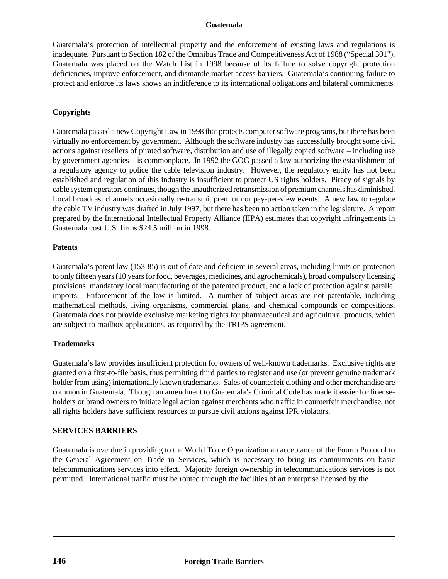## **Guatemala**

Guatemala's protection of intellectual property and the enforcement of existing laws and regulations is inadequate. Pursuant to Section 182 of the Omnibus Trade and Competitiveness Act of 1988 ("Special 301"), Guatemala was placed on the Watch List in 1998 because of its failure to solve copyright protection deficiencies, improve enforcement, and dismantle market access barriers. Guatemala's continuing failure to protect and enforce its laws shows an indifference to its international obligations and bilateral commitments.

# **Copyrights**

Guatemala passed a new Copyright Law in 1998 that protects computer software programs, but there has been virtually no enforcement by government. Although the software industry has successfully brought some civil actions against resellers of pirated software, distribution and use of illegally copied software – including use by government agencies – is commonplace. In 1992 the GOG passed a law authorizing the establishment of a regulatory agency to police the cable television industry. However, the regulatory entity has not been established and regulation of this industry is insufficient to protect US rights holders. Piracy of signals by cable system operators continues, though the unauthorized retransmission of premium channels has diminished. Local broadcast channels occasionally re-transmit premium or pay-per-view events. A new law to regulate the cable TV industry was drafted in July 1997, but there has been no action taken in the legislature. A report prepared by the International Intellectual Property Alliance (IIPA) estimates that copyright infringements in Guatemala cost U.S. firms \$24.5 million in 1998.

## **Patents**

Guatemala's patent law (153-85) is out of date and deficient in several areas, including limits on protection to only fifteen years (10 years for food, beverages, medicines, and agrochemicals), broad compulsory licensing provisions, mandatory local manufacturing of the patented product, and a lack of protection against parallel imports. Enforcement of the law is limited. A number of subject areas are not patentable, including mathematical methods, living organisms, commercial plans, and chemical compounds or compositions. Guatemala does not provide exclusive marketing rights for pharmaceutical and agricultural products, which are subject to mailbox applications, as required by the TRIPS agreement.

# **Trademarks**

Guatemala's law provides insufficient protection for owners of well-known trademarks. Exclusive rights are granted on a first-to-file basis, thus permitting third parties to register and use (or prevent genuine trademark holder from using) internationally known trademarks. Sales of counterfeit clothing and other merchandise are common in Guatemala. Though an amendment to Guatemala's Criminal Code has made it easier for licenseholders or brand owners to initiate legal action against merchants who traffic in counterfeit merchandise, not all rights holders have sufficient resources to pursue civil actions against IPR violators.

# **SERVICES BARRIERS**

Guatemala is overdue in providing to the World Trade Organization an acceptance of the Fourth Protocol to the General Agreement on Trade in Services, which is necessary to bring its commitments on basic telecommunications services into effect. Majority foreign ownership in telecommunications services is not permitted. International traffic must be routed through the facilities of an enterprise licensed by the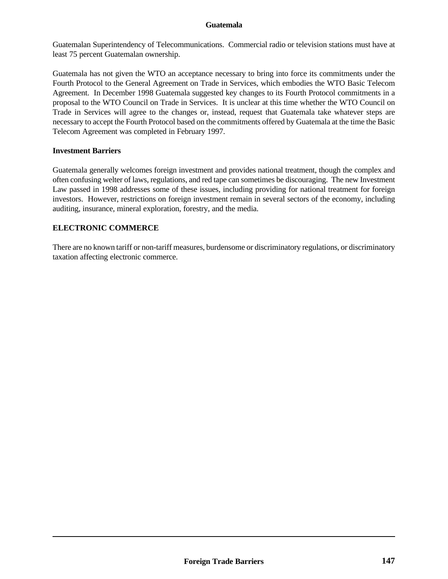## **Guatemala**

Guatemalan Superintendency of Telecommunications. Commercial radio or television stations must have at least 75 percent Guatemalan ownership.

Guatemala has not given the WTO an acceptance necessary to bring into force its commitments under the Fourth Protocol to the General Agreement on Trade in Services, which embodies the WTO Basic Telecom Agreement. In December 1998 Guatemala suggested key changes to its Fourth Protocol commitments in a proposal to the WTO Council on Trade in Services. It is unclear at this time whether the WTO Council on Trade in Services will agree to the changes or, instead, request that Guatemala take whatever steps are necessary to accept the Fourth Protocol based on the commitments offered by Guatemala at the time the Basic Telecom Agreement was completed in February 1997.

#### **Investment Barriers**

Guatemala generally welcomes foreign investment and provides national treatment, though the complex and often confusing welter of laws, regulations, and red tape can sometimes be discouraging. The new Investment Law passed in 1998 addresses some of these issues, including providing for national treatment for foreign investors. However, restrictions on foreign investment remain in several sectors of the economy, including auditing, insurance, mineral exploration, forestry, and the media.

## **ELECTRONIC COMMERCE**

There are no known tariff or non-tariff measures, burdensome or discriminatory regulations, or discriminatory taxation affecting electronic commerce.